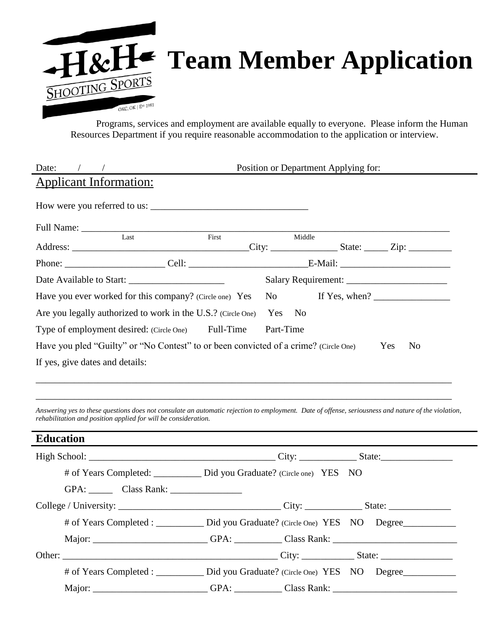

Programs, services and employment are available equally to everyone. Please inform the Human Resources Department if you require reasonable accommodation to the application or interview.

| Date:                                                                                                                                                                                                                 |                                                                                                                  | Position or Department Applying for: |                                                                                                                                                                                                                                                                                                                                                                                                                                             |
|-----------------------------------------------------------------------------------------------------------------------------------------------------------------------------------------------------------------------|------------------------------------------------------------------------------------------------------------------|--------------------------------------|---------------------------------------------------------------------------------------------------------------------------------------------------------------------------------------------------------------------------------------------------------------------------------------------------------------------------------------------------------------------------------------------------------------------------------------------|
| <b>Applicant Information:</b>                                                                                                                                                                                         |                                                                                                                  |                                      |                                                                                                                                                                                                                                                                                                                                                                                                                                             |
|                                                                                                                                                                                                                       |                                                                                                                  |                                      |                                                                                                                                                                                                                                                                                                                                                                                                                                             |
| Full Name: Last First                                                                                                                                                                                                 |                                                                                                                  |                                      |                                                                                                                                                                                                                                                                                                                                                                                                                                             |
|                                                                                                                                                                                                                       |                                                                                                                  | Middle                               |                                                                                                                                                                                                                                                                                                                                                                                                                                             |
|                                                                                                                                                                                                                       |                                                                                                                  |                                      |                                                                                                                                                                                                                                                                                                                                                                                                                                             |
|                                                                                                                                                                                                                       |                                                                                                                  |                                      |                                                                                                                                                                                                                                                                                                                                                                                                                                             |
| Have you ever worked for this company? (Circle one) Yes                                                                                                                                                               |                                                                                                                  | No                                   | If Yes, when? $\frac{1}{\sqrt{1-\frac{1}{2}} \cdot \frac{1}{\sqrt{1-\frac{1}{2}} \cdot \frac{1}{\sqrt{1-\frac{1}{2}} \cdot \frac{1}{\sqrt{1-\frac{1}{2}} \cdot \frac{1}{\sqrt{1-\frac{1}{2}} \cdot \frac{1}{\sqrt{1-\frac{1}{2}} \cdot \frac{1}{\sqrt{1-\frac{1}{2}} \cdot \frac{1}{\sqrt{1-\frac{1}{2}} \cdot \frac{1}{\sqrt{1-\frac{1}{2}} \cdot \frac{1}{\sqrt{1-\frac{1}{2}} \cdot \frac{1}{\sqrt{1-\frac{1}{2}} \cdot \frac{1}{\sqrt{$ |
| Are you legally authorized to work in the U.S.? (Circle One)                                                                                                                                                          |                                                                                                                  | Yes No                               |                                                                                                                                                                                                                                                                                                                                                                                                                                             |
| Type of employment desired: (Circle One) Full-Time                                                                                                                                                                    |                                                                                                                  | Part-Time                            |                                                                                                                                                                                                                                                                                                                                                                                                                                             |
| Have you pled "Guilty" or "No Contest" to or been convicted of a crime? (Circle One)                                                                                                                                  |                                                                                                                  |                                      | Yes<br>N <sub>0</sub>                                                                                                                                                                                                                                                                                                                                                                                                                       |
| If yes, give dates and details:                                                                                                                                                                                       |                                                                                                                  |                                      |                                                                                                                                                                                                                                                                                                                                                                                                                                             |
| Answering yes to these questions does not consulate an automatic rejection to employment. Date of offense, seriousness and nature of the violation,<br>rehabilitation and position applied for will be consideration. |                                                                                                                  |                                      |                                                                                                                                                                                                                                                                                                                                                                                                                                             |
| <b>Education</b>                                                                                                                                                                                                      | and the control of the control of the control of the control of the control of the control of the control of the |                                      |                                                                                                                                                                                                                                                                                                                                                                                                                                             |
|                                                                                                                                                                                                                       |                                                                                                                  |                                      |                                                                                                                                                                                                                                                                                                                                                                                                                                             |
| # of Years Completed: ________ Did you Graduate? (Circle one) YES NO                                                                                                                                                  |                                                                                                                  |                                      |                                                                                                                                                                                                                                                                                                                                                                                                                                             |
|                                                                                                                                                                                                                       |                                                                                                                  |                                      |                                                                                                                                                                                                                                                                                                                                                                                                                                             |
|                                                                                                                                                                                                                       |                                                                                                                  |                                      |                                                                                                                                                                                                                                                                                                                                                                                                                                             |
| # of Years Completed : __________ Did you Graduate? (Circle One) YES NO Degree___________                                                                                                                             |                                                                                                                  |                                      |                                                                                                                                                                                                                                                                                                                                                                                                                                             |
|                                                                                                                                                                                                                       |                                                                                                                  |                                      |                                                                                                                                                                                                                                                                                                                                                                                                                                             |
|                                                                                                                                                                                                                       |                                                                                                                  |                                      |                                                                                                                                                                                                                                                                                                                                                                                                                                             |
| # of Years Completed : _________ Did you Graduate? (Circle One) YES NO Degree                                                                                                                                         |                                                                                                                  |                                      |                                                                                                                                                                                                                                                                                                                                                                                                                                             |
| Major: ________________________GPA: __________Class Rank: _______________________                                                                                                                                     |                                                                                                                  |                                      |                                                                                                                                                                                                                                                                                                                                                                                                                                             |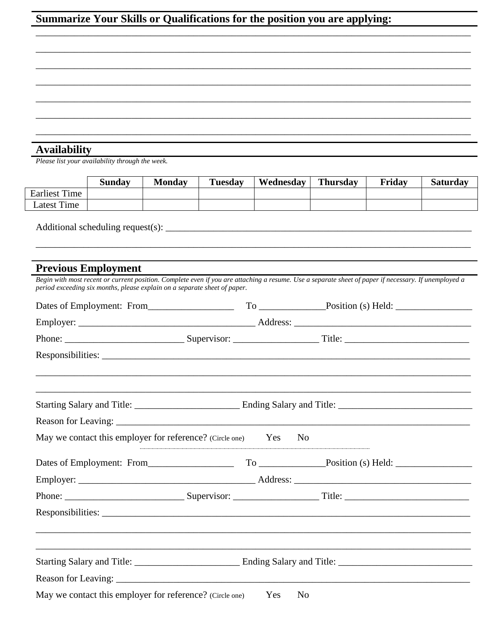## Summarize Your Skills or Qualifications for the position you are applying:

**Availability**<br>Please list your availability through the week.

|                      | Sundav | <b>Monday</b> | <b>Tuesday</b> | Wednesday | <b>Thursday</b> | Friday | <b>Saturday</b> |
|----------------------|--------|---------------|----------------|-----------|-----------------|--------|-----------------|
| <b>Earliest Time</b> |        |               |                |           |                 |        |                 |
| Latest Time          |        |               |                |           |                 |        |                 |
|                      |        |               |                |           |                 |        |                 |

## **Previous Employment**

| period exceeding six months, please explain on a separate sheet of paper. |  |            |                | Begin with most recent or current position. Complete even if you are attaching a resume. Use a separate sheet of paper if necessary. If unemployed a |  |
|---------------------------------------------------------------------------|--|------------|----------------|------------------------------------------------------------------------------------------------------------------------------------------------------|--|
|                                                                           |  |            |                |                                                                                                                                                      |  |
|                                                                           |  |            |                |                                                                                                                                                      |  |
|                                                                           |  |            |                |                                                                                                                                                      |  |
|                                                                           |  |            |                |                                                                                                                                                      |  |
|                                                                           |  |            |                | <u> 1989 - Johann Stoff, amerikansk politiker (d. 1989)</u>                                                                                          |  |
|                                                                           |  |            |                |                                                                                                                                                      |  |
| May we contact this employer for reference? (Circle one) Yes              |  |            | N <sub>0</sub> |                                                                                                                                                      |  |
|                                                                           |  |            |                |                                                                                                                                                      |  |
|                                                                           |  |            |                |                                                                                                                                                      |  |
|                                                                           |  |            |                |                                                                                                                                                      |  |
|                                                                           |  |            |                |                                                                                                                                                      |  |
|                                                                           |  |            |                | and the control of the control of the control of the control of the control of the control of the control of the                                     |  |
|                                                                           |  |            |                |                                                                                                                                                      |  |
| May we contact this employer for reference? (Circle one)                  |  | <b>Yes</b> | N <sub>0</sub> |                                                                                                                                                      |  |